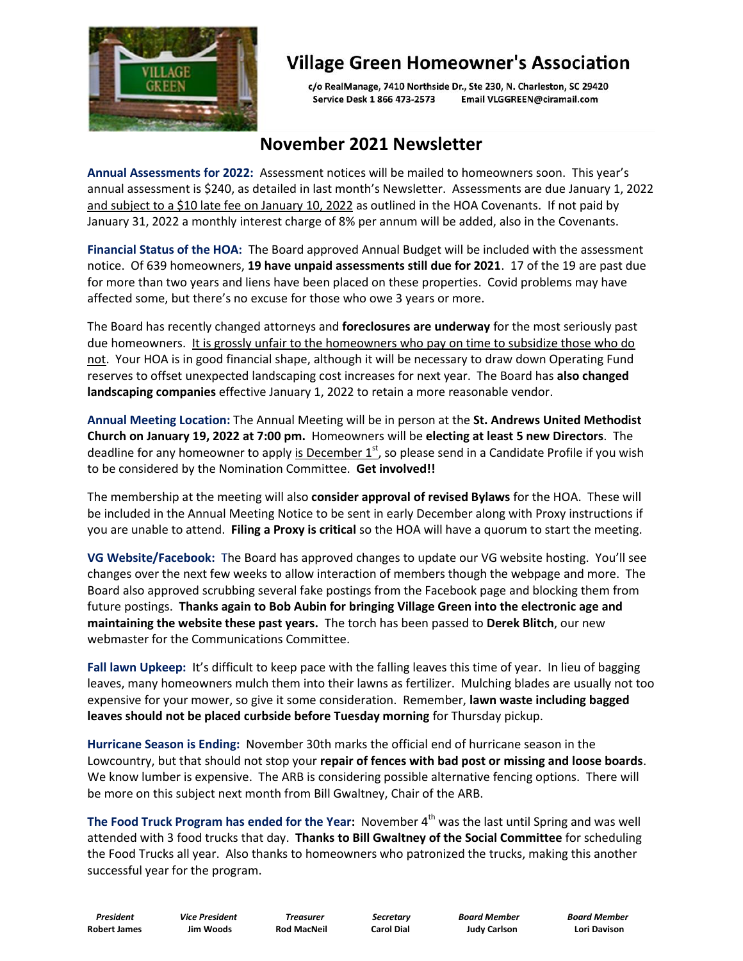

## **Village Green Homeowner's Association**

c/o RealManage, 7410 Northside Dr., Ste 230, N. Charleston, SC 29420 Service Desk 1 866 473-2573 Email VLGGREEN@ciramail.com

## **November 2021 Newsletter**

**Annual Assessments for 2022:** Assessment notices will be mailed to homeowners soon. This year's annual assessment is \$240, as detailed in last month's Newsletter. Assessments are due January 1, 2022 and subject to a \$10 late fee on January 10, 2022 as outlined in the HOA Covenants. If not paid by January 31, 2022 a monthly interest charge of 8% per annum will be added, also in the Covenants.

**Financial Status of the HOA:** The Board approved Annual Budget will be included with the assessment notice. Of 639 homeowners, **19 have unpaid assessments still due for 2021**. 17 of the 19 are past due for more than two years and liens have been placed on these properties. Covid problems may have affected some, but there's no excuse for those who owe 3 years or more.

The Board has recently changed attorneys and **foreclosures are underway** for the most seriously past due homeowners. It is grossly unfair to the homeowners who pay on time to subsidize those who do not. Your HOA is in good financial shape, although it will be necessary to draw down Operating Fund reserves to offset unexpected landscaping cost increases for next year. The Board has **also changed landscaping companies** effective January 1, 2022 to retain a more reasonable vendor.

**Annual Meeting Location:** The Annual Meeting will be in person at the **St. Andrews United Methodist Church on January 19, 2022 at 7:00 pm.** Homeowners will be **electing at least 5 new Directors**. The deadline for any homeowner to apply is December  $1<sup>st</sup>$ , so please send in a Candidate Profile if you wish to be considered by the Nomination Committee. **Get involved!!**

The membership at the meeting will also **consider approval of revised Bylaws** for the HOA. These will be included in the Annual Meeting Notice to be sent in early December along with Proxy instructions if you are unable to attend. **Filing a Proxy is critical** so the HOA will have a quorum to start the meeting.

**VG Website/Facebook:** The Board has approved changes to update our VG website hosting. You'll see changes over the next few weeks to allow interaction of members though the webpage and more. The Board also approved scrubbing several fake postings from the Facebook page and blocking them from future postings. **Thanks again to Bob Aubin for bringing Village Green into the electronic age and maintaining the website these past years.** The torch has been passed to **Derek Blitch**, our new webmaster for the Communications Committee.

**Fall lawn Upkeep:** It's difficult to keep pace with the falling leaves this time of year. In lieu of bagging leaves, many homeowners mulch them into their lawns as fertilizer. Mulching blades are usually not too expensive for your mower, so give it some consideration. Remember, **lawn waste including bagged leaves should not be placed curbside before Tuesday morning** for Thursday pickup.

**Hurricane Season is Ending:** November 30th marks the official end of hurricane season in the Lowcountry, but that should not stop your **repair of fences with bad post or missing and loose boards**. We know lumber is expensive. The ARB is considering possible alternative fencing options. There will be more on this subject next month from Bill Gwaltney, Chair of the ARB.

**The Food Truck Program has ended for the Year:** November 4<sup>th</sup> was the last until Spring and was well attended with 3 food trucks that day. **Thanks to Bill Gwaltney of the Social Committee** for scheduling the Food Trucks all year. Also thanks to homeowners who patronized the trucks, making this another successful year for the program.

 *President Vice President Treasurer Secretary Board Member Board Member*  **Robert James Jim Woods Rod MacNeil Carol Dial Judy Carlson Lori Davison**